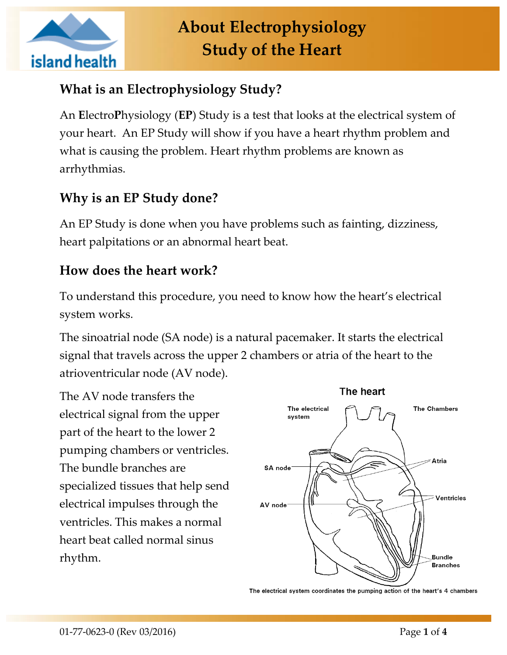

# **What is an Electrophysiology Study?**

An **E**lectro**P**hysiology (**EP**) Study is a test that looks at the electrical system of your heart. An EP Study will show if you have a heart rhythm problem and what is causing the problem. Heart rhythm problems are known as arrhythmias.

# **Why is an EP Study done?**

An EP Study is done when you have problems such as fainting, dizziness, heart palpitations or an abnormal heart beat.

#### **How does the heart work?**

To understand this procedure, you need to know how the heart's electrical system works.

The sinoatrial node (SA node) is a natural pacemaker. It starts the electrical signal that travels across the upper 2 chambers or atria of the heart to the atrioventricular node (AV node).

The AV node transfers the electrical signal from the upper part of the heart to the lower 2 pumping chambers or ventricles. The bundle branches are specialized tissues that help send electrical impulses through the ventricles. This makes a normal heart beat called normal sinus rhythm.



The electrical system coordinates the pumping action of the heart's 4 chambers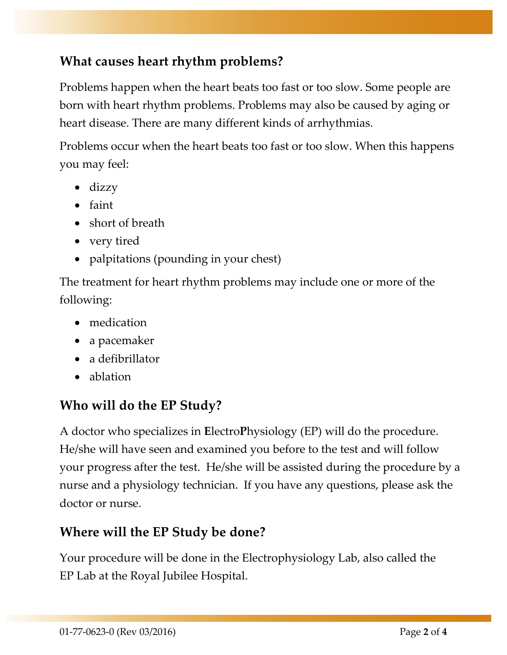## **What causes heart rhythm problems?**

Problems happen when the heart beats too fast or too slow. Some people are born with heart rhythm problems. Problems may also be caused by aging or heart disease. There are many different kinds of arrhythmias.

Problems occur when the heart beats too fast or too slow. When this happens you may feel:

- $\bullet$  dizzy
- faint
- short of breath
- very tired
- palpitations (pounding in your chest)

The treatment for heart rhythm problems may include one or more of the following:

- medication
- a pacemaker
- a defibrillator
- ablation

# **Who will do the EP Study?**

A doctor who specializes in **E**lectro**P**hysiology (EP) will do the procedure. He/she will have seen and examined you before to the test and will follow your progress after the test. He/she will be assisted during the procedure by a nurse and a physiology technician. If you have any questions, please ask the doctor or nurse.

## **Where will the EP Study be done?**

Your procedure will be done in the Electrophysiology Lab, also called the EP Lab at the Royal Jubilee Hospital.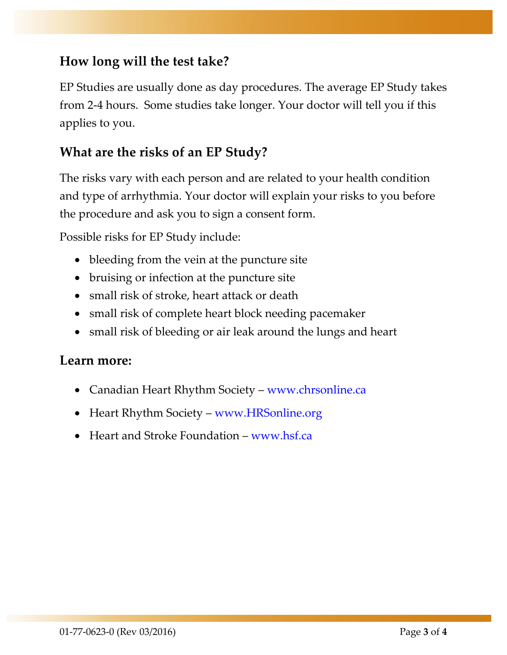## **How long will the test take?**

EP Studies are usually done as day procedures. The average EP Study takes from 2-4 hours. Some studies take longer. Your doctor will tell you if this applies to you.

#### **What are the risks of an EP Study?**

The risks vary with each person and are related to your health condition and type of arrhythmia. Your doctor will explain your risks to you before the procedure and ask you to sign a consent form.

Possible risks for EP Study include:

- bleeding from the vein at the puncture site
- bruising or infection at the puncture site
- small risk of stroke, heart attack or death
- small risk of complete heart block needing pacemaker
- small risk of bleeding or air leak around the lungs and heart

#### **Learn more:**

- Canadian Heart Rhythm Society [www.chrsonline.ca](http://www.chrsonline.ca/)
- Heart Rhythm Society [www.HRSonline.org](http://www.hrsonline.org/)
- Heart and Stroke Foundation [www.hsf.ca](http://www.hsf.ca/)